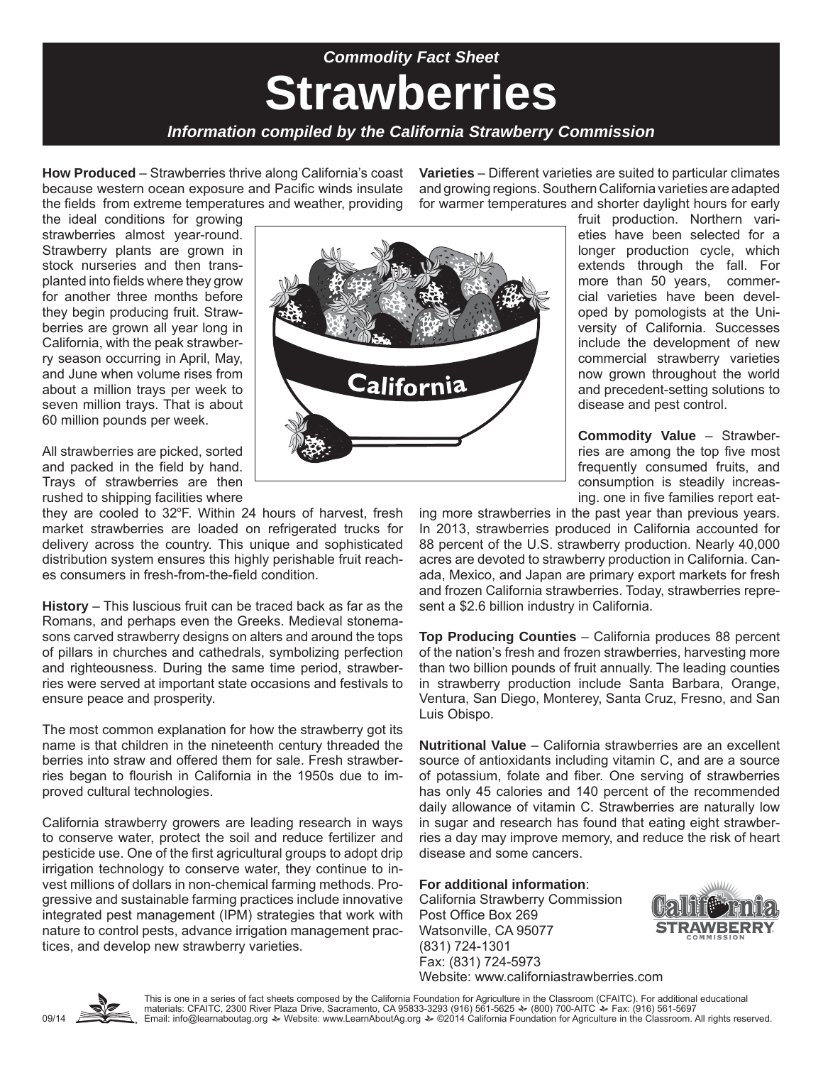## **Strawberries** *Commodity Fact Sheet*

#### *Information compiled by the California Strawberry Commission*

**How Produced** – Strawberries thrive along California's coast because western ocean exposure and Pacific winds insulate the fields from extreme temperatures and weather, providing **Varieties** – Different varieties are suited to particular climates and growing regions. Southern California varieties are adapted for warmer temperatures and shorter daylight hours for early

the ideal conditions for growing strawberries almost year-round. Strawberry plants are grown in stock nurseries and then transplanted into fields where they grow for another three months before they begin producing fruit. Strawberries are grown all year long in California, with the peak strawberry season occurring in April, May, and June when volume rises from about a million trays per week to seven million trays. That is about 60 million pounds per week.

All strawberries are picked, sorted and packed in the field by hand. Trays of strawberries are then rushed to shipping facilities where

they are cooled to 32°F. Within 24 hours of harvest, fresh market strawberries are loaded on refrigerated trucks for delivery across the country. This unique and sophisticated distribution system ensures this highly perishable fruit reaches consumers in fresh-from-the-field condition.

**History** – This luscious fruit can be traced back as far as the Romans, and perhaps even the Greeks. Medieval stonemasons carved strawberry designs on alters and around the tops of pillars in churches and cathedrals, symbolizing perfection and righteousness. During the same time period, strawberries were served at important state occasions and festivals to ensure peace and prosperity.

The most common explanation for how the strawberry got its name is that children in the nineteenth century threaded the berries into straw and offered them for sale. Fresh strawberries began to flourish in California in the 1950s due to improved cultural technologies.

California strawberry growers are leading research in ways to conserve water, protect the soil and reduce fertilizer and pesticide use. One of the first agricultural groups to adopt drip irrigation technology to conserve water, they continue to invest millions of dollars in non-chemical farming methods. Progressive and sustainable farming practices include innovative integrated pest management (IPM) strategies that work with nature to control pests, advance irrigation management practices, and develop new strawberry varieties.



fruit production. Northern varieties have been selected for a longer production cycle, which extends through the fall. For more than 50 years, commercial varieties have been developed by pomologists at the University of California. Successes include the development of new commercial strawberry varieties now grown throughout the world and precedent-setting solutions to disease and pest control.

**Commodity Value** – Strawberries are among the top five most frequently consumed fruits, and consumption is steadily increasing. one in five families report eat-

ing more strawberries in the past year than previous years. In 2013, strawberries produced in California accounted for 88 percent of the U.S. strawberry production. Nearly 40,000 acres are devoted to strawberry production in California. Canada, Mexico, and Japan are primary export markets for fresh and frozen California strawberries. Today, strawberries represent a \$2.6 billion industry in California.

**Top Producing Counties** – California produces 88 percent of the nation's fresh and frozen strawberries, harvesting more than two billion pounds of fruit annually. The leading counties in strawberry production include Santa Barbara, Orange, Ventura, San Diego, Monterey, Santa Cruz, Fresno, and San Luis Obispo.

**Nutritional Value** – California strawberries are an excellent source of antioxidants including vitamin C, and are a source of potassium, folate and fiber. One serving of strawberries has only 45 calories and 140 percent of the recommended daily allowance of vitamin C. Strawberries are naturally low in sugar and research has found that eating eight strawberries a day may improve memory, and reduce the risk of heart disease and some cancers.

#### **For additional information**:

California Strawberry Commission Post Office Box 269 Watsonville, CA 95077 (831) 724-1301 Fax: (831) 724-5973 Website: www.californiastrawberries.com





This is one in a series of fact sheets composed by the California Foundation for Agriculture in the Classroom (CFAITC). For additional educational<br>materials: CFAITC, 2300 River Plaza Drive, Sacramento, CA 95833-3293 (916) Email: info@learnaboutag.org \* Website: www.LearnAboutAg.org \* @2014 California Foundation for Agriculture in the Classroom. All rights reserved.